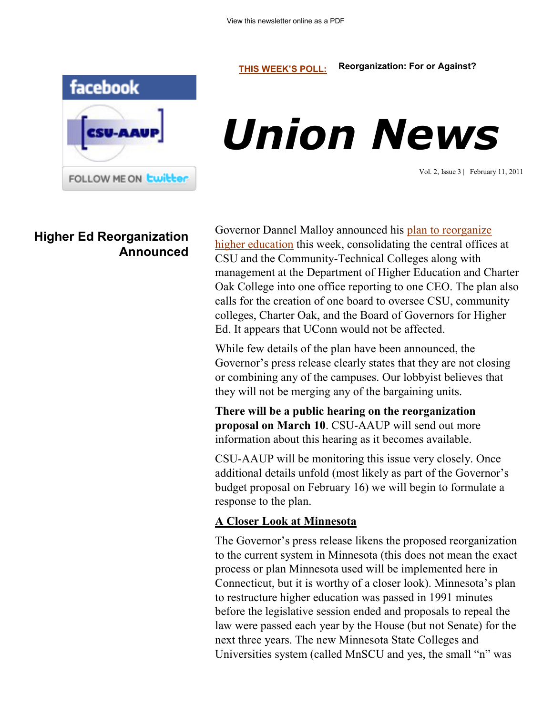#### **[THIS WEEK'S POLL:](http://www.csuaaup.org/) Reorganization: For or Against?**



# *Union News*

Vol. 2, Issue 3 | February 11, 2011

## **Higher Ed Reorganization Announced**

Governor Dannel Malloy announced his [plan to reorganize](http://www.governor.ct.gov/malloy/cwp/view.asp?a=4010&Q=473664)  [higher education](http://www.governor.ct.gov/malloy/cwp/view.asp?a=4010&Q=473664) this week, consolidating the central offices at CSU and the Community-Technical Colleges along with management at the Department of Higher Education and Charter Oak College into one office reporting to one CEO. The plan also calls for the creation of one board to oversee CSU, community colleges, Charter Oak, and the Board of Governors for Higher Ed. It appears that UConn would not be affected.

While few details of the plan have been announced, the Governor's press release clearly states that they are not closing or combining any of the campuses. Our lobbyist believes that they will not be merging any of the bargaining units.

**There will be a public hearing on the reorganization proposal on March 10**. CSU-AAUP will send out more information about this hearing as it becomes available.

CSU-AAUP will be monitoring this issue very closely. Once additional details unfold (most likely as part of the Governor's budget proposal on February 16) we will begin to formulate a response to the plan.

### **A Closer Look at Minnesota**

The Governor's press release likens the proposed reorganization to the current system in Minnesota (this does not mean the exact process or plan Minnesota used will be implemented here in Connecticut, but it is worthy of a closer look). Minnesota's plan to restructure higher education was passed in 1991 minutes before the legislative session ended and proposals to repeal the law were passed each year by the House (but not Senate) for the next three years. The new Minnesota State Colleges and Universities system (called MnSCU and yes, the small "n" was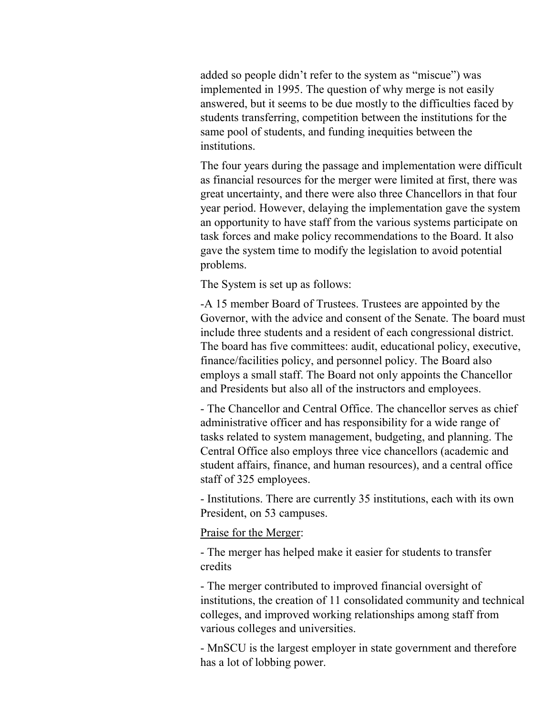added so people didn't refer to the system as "miscue") was implemented in 1995. The question of why merge is not easily answered, but it seems to be due mostly to the difficulties faced by students transferring, competition between the institutions for the same pool of students, and funding inequities between the institutions.

The four years during the passage and implementation were difficult as financial resources for the merger were limited at first, there was great uncertainty, and there were also three Chancellors in that four year period. However, delaying the implementation gave the system an opportunity to have staff from the various systems participate on task forces and make policy recommendations to the Board. It also gave the system time to modify the legislation to avoid potential problems.

The System is set up as follows:

-A 15 member Board of Trustees. Trustees are appointed by the Governor, with the advice and consent of the Senate. The board must include three students and a resident of each congressional district. The board has five committees: audit, educational policy, executive, finance/facilities policy, and personnel policy. The Board also employs a small staff. The Board not only appoints the Chancellor and Presidents but also all of the instructors and employees.

- The Chancellor and Central Office. The chancellor serves as chief administrative officer and has responsibility for a wide range of tasks related to system management, budgeting, and planning. The Central Office also employs three vice chancellors (academic and student affairs, finance, and human resources), and a central office staff of 325 employees.

- Institutions. There are currently 35 institutions, each with its own President, on 53 campuses.

Praise for the Merger:

- The merger has helped make it easier for students to transfer credits

- The merger contributed to improved financial oversight of institutions, the creation of 11 consolidated community and technical colleges, and improved working relationships among staff from various colleges and universities.

- MnSCU is the largest employer in state government and therefore has a lot of lobbing power.